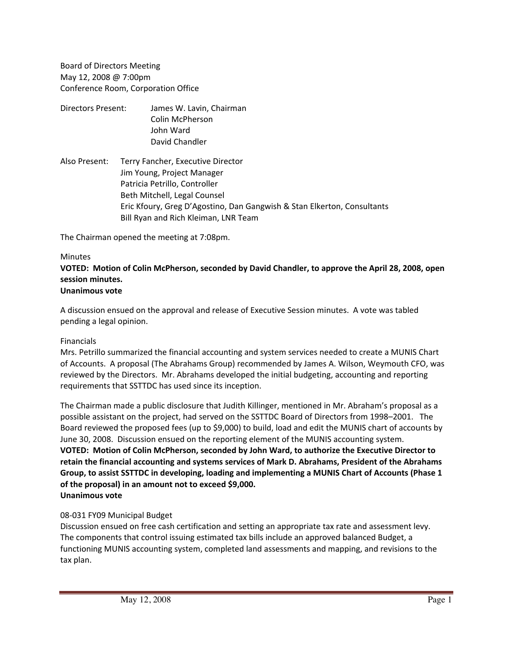Board of Directors Meeting May 12, 2008 @ 7:00pm Conference Room, Corporation Office

- Directors Present: James W. Lavin, Chairman Colin McPherson John Ward David Chandler
- Also Present: Terry Fancher, Executive Director Jim Young, Project Manager Patricia Petrillo, Controller Beth Mitchell, Legal Counsel Eric Kfoury, Greg D'Agostino, Dan Gangwish & Stan Elkerton, Consultants Bill Ryan and Rich Kleiman, LNR Team

The Chairman opened the meeting at 7:08pm.

#### Minutes

#### **VOTED: Motion of Colin McPherson, seconded by David Chandler, to approve the April 28, 2008, open session minutes. Unanimous vote**

A discussion ensued on the approval and release of Executive Session minutes. A vote was tabled pending a legal opinion.

## Financials

Mrs. Petrillo summarized the financial accounting and system services needed to create a MUNIS Chart of Accounts. A proposal (The Abrahams Group) recommended by James A. Wilson, Weymouth CFO, was reviewed by the Directors. Mr. Abrahams developed the initial budgeting, accounting and reporting requirements that SSTTDC has used since its inception.

The Chairman made a public disclosure that Judith Killinger, mentioned in Mr. Abraham's proposal as a possible assistant on the project, had served on the SSTTDC Board of Directors from 1998–2001. The Board reviewed the proposed fees (up to \$9,000) to build, load and edit the MUNIS chart of accounts by June 30, 2008. Discussion ensued on the reporting element of the MUNIS accounting system. **VOTED: Motion of Colin McPherson, seconded by John Ward, to authorize the Executive Director to retain the financial accounting and systems services of Mark D. Abrahams, President of the Abrahams Group, to assist SSTTDC in developing, loading and implementing a MUNIS Chart of Accounts (Phase 1 of the proposal) in an amount not to exceed \$9,000. Unanimous vote**

## 08‐031 FY09 Municipal Budget

Discussion ensued on free cash certification and setting an appropriate tax rate and assessment levy. The components that control issuing estimated tax bills include an approved balanced Budget, a functioning MUNIS accounting system, completed land assessments and mapping, and revisions to the tax plan.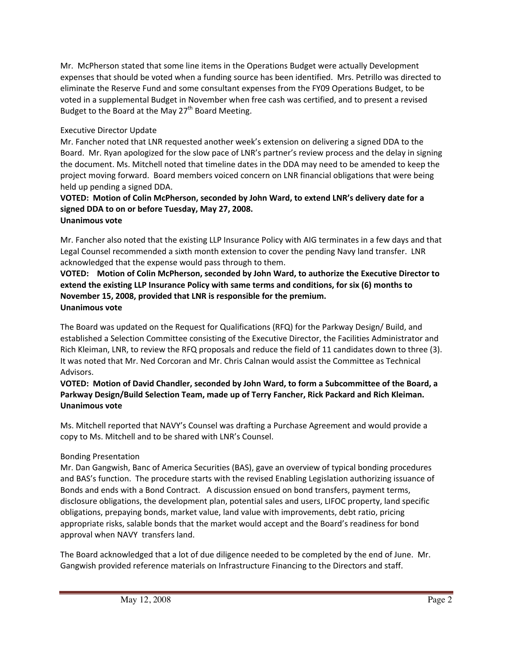Mr. McPherson stated that some line items in the Operations Budget were actually Development expenses that should be voted when a funding source has been identified. Mrs. Petrillo was directed to eliminate the Reserve Fund and some consultant expenses from the FY09 Operations Budget, to be voted in a supplemental Budget in November when free cash was certified, and to present a revised Budget to the Board at the May  $27<sup>th</sup>$  Board Meeting.

# Executive Director Update

Mr. Fancher noted that LNR requested another week's extension on delivering a signed DDA to the Board. Mr. Ryan apologized for the slow pace of LNR's partner's review process and the delay in signing the document. Ms. Mitchell noted that timeline dates in the DDA may need to be amended to keep the project moving forward. Board members voiced concern on LNR financial obligations that were being held up pending a signed DDA.

#### **VOTED: Motion of Colin McPherson, seconded by John Ward, to extend LNR's delivery date for a signed DDA to on or before Tuesday, May 27, 2008. Unanimous vote**

Mr. Fancher also noted that the existing LLP Insurance Policy with AIG terminates in a few days and that Legal Counsel recommended a sixth month extension to cover the pending Navy land transfer. LNR acknowledged that the expense would pass through to them.

# **VOTED: Motion of Colin McPherson, seconded by John Ward, to authorize the Executive Director to extend the existing LLP Insurance Policy with same terms and conditions, for six (6) months to November 15, 2008, provided that LNR is responsible for the premium. Unanimous vote**

The Board was updated on the Request for Qualifications (RFQ) for the Parkway Design/ Build, and established a Selection Committee consisting of the Executive Director, the Facilities Administrator and Rich Kleiman, LNR, to review the RFQ proposals and reduce the field of 11 candidates down to three (3). It was noted that Mr. Ned Corcoran and Mr. Chris Calnan would assist the Committee as Technical Advisors.

# **VOTED: Motion of David Chandler, seconded by John Ward, to form a Subcommittee of the Board, a Parkway Design/Build Selection Team, made up of Terry Fancher, Rick Packard and Rich Kleiman. Unanimous vote**

Ms. Mitchell reported that NAVY's Counsel was drafting a Purchase Agreement and would provide a copy to Ms. Mitchell and to be shared with LNR's Counsel.

# Bonding Presentation

Mr. Dan Gangwish, Banc of America Securities (BAS), gave an overview of typical bonding procedures and BAS's function. The procedure starts with the revised Enabling Legislation authorizing issuance of Bonds and ends with a Bond Contract. A discussion ensued on bond transfers, payment terms, disclosure obligations, the development plan, potential sales and users, LIFOC property, land specific obligations, prepaying bonds, market value, land value with improvements, debt ratio, pricing appropriate risks, salable bonds that the market would accept and the Board's readiness for bond approval when NAVY transfers land.

The Board acknowledged that a lot of due diligence needed to be completed by the end of June. Mr. Gangwish provided reference materials on Infrastructure Financing to the Directors and staff.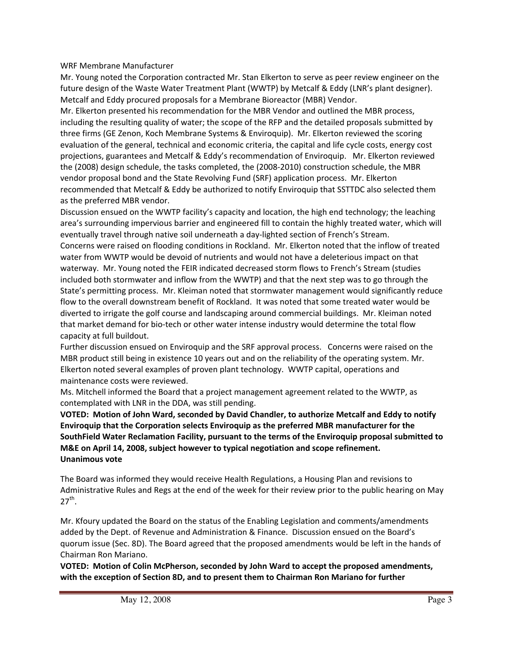## WRF Membrane Manufacturer

Mr. Young noted the Corporation contracted Mr. Stan Elkerton to serve as peer review engineer on the future design of the Waste Water Treatment Plant (WWTP) by Metcalf & Eddy (LNR's plant designer). Metcalf and Eddy procured proposals for a Membrane Bioreactor (MBR) Vendor.

Mr. Elkerton presented his recommendation for the MBR Vendor and outlined the MBR process, including the resulting quality of water; the scope of the RFP and the detailed proposals submitted by three firms (GE Zenon, Koch Membrane Systems & Enviroquip). Mr. Elkerton reviewed the scoring evaluation of the general, technical and economic criteria, the capital and life cycle costs, energy cost projections, guarantees and Metcalf & Eddy's recommendation of Enviroquip. Mr. Elkerton reviewed the (2008) design schedule, the tasks completed, the (2008‐2010) construction schedule, the MBR vendor proposal bond and the State Revolving Fund (SRF) application process. Mr. Elkerton recommended that Metcalf & Eddy be authorized to notify Enviroquip that SSTTDC also selected them as the preferred MBR vendor.

Discussion ensued on the WWTP facility's capacity and location, the high end technology; the leaching area's surrounding impervious barrier and engineered fill to contain the highly treated water, which will eventually travel through native soil underneath a day-lighted section of French's Stream. Concerns were raised on flooding conditions in Rockland. Mr. Elkerton noted that the inflow of treated water from WWTP would be devoid of nutrients and would not have a deleterious impact on that waterway. Mr. Young noted the FEIR indicated decreased storm flows to French's Stream (studies included both stormwater and inflow from the WWTP) and that the next step was to go through the State's permitting process. Mr. Kleiman noted that stormwater management would significantly reduce flow to the overall downstream benefit of Rockland. It was noted that some treated water would be diverted to irrigate the golf course and landscaping around commercial buildings. Mr. Kleiman noted that market demand for bio‐tech or other water intense industry would determine the total flow capacity at full buildout.

Further discussion ensued on Enviroquip and the SRF approval process. Concerns were raised on the MBR product still being in existence 10 years out and on the reliability of the operating system. Mr. Elkerton noted several examples of proven plant technology. WWTP capital, operations and maintenance costs were reviewed.

Ms. Mitchell informed the Board that a project management agreement related to the WWTP, as contemplated with LNR in the DDA, was still pending.

**VOTED: Motion of John Ward, seconded by David Chandler, to authorize Metcalf and Eddy to notify Enviroquip that the Corporation selects Enviroquip as the preferred MBR manufacturer for the SouthField Water Reclamation Facility, pursuant to the terms of the Enviroquip proposal submitted to M&E on April 14, 2008, subject however to typical negotiation and scope refinement. Unanimous vote**

The Board was informed they would receive Health Regulations, a Housing Plan and revisions to Administrative Rules and Regs at the end of the week for their review prior to the public hearing on May  $27^{th}$ .

Mr. Kfoury updated the Board on the status of the Enabling Legislation and comments/amendments added by the Dept. of Revenue and Administration & Finance. Discussion ensued on the Board's quorum issue (Sec. 8D). The Board agreed that the proposed amendments would be left in the hands of Chairman Ron Mariano.

**VOTED: Motion of Colin McPherson, seconded by John Ward to accept the proposed amendments, with the exception of Section 8D, and to present them to Chairman Ron Mariano for further**